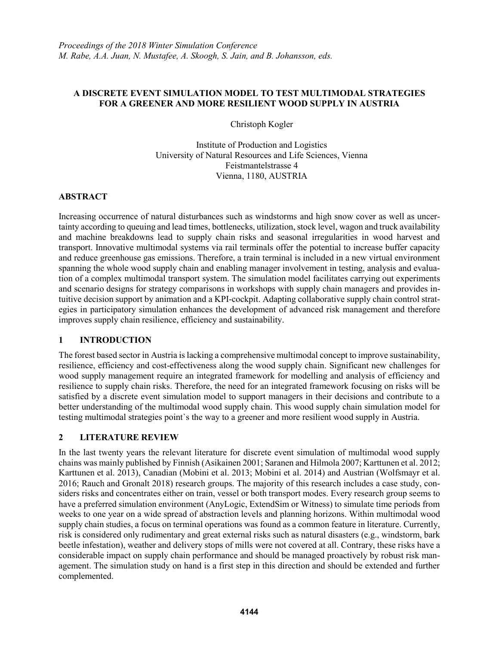## **A DISCRETE EVENT SIMULATION MODEL TO TEST MULTIMODAL STRATEGIES FOR A GREENER AND MORE RESILIENT WOOD SUPPLY IN AUSTRIA**

Christoph Kogler

Institute of Production and Logistics University of Natural Resources and Life Sciences, Vienna Feistmantelstrasse 4 Vienna, 1180, AUSTRIA

## **ABSTRACT**

Increasing occurrence of natural disturbances such as windstorms and high snow cover as well as uncertainty according to queuing and lead times, bottlenecks, utilization, stock level, wagon and truck availability and machine breakdowns lead to supply chain risks and seasonal irregularities in wood harvest and transport. Innovative multimodal systems via rail terminals offer the potential to increase buffer capacity and reduce greenhouse gas emissions. Therefore, a train terminal is included in a new virtual environment spanning the whole wood supply chain and enabling manager involvement in testing, analysis and evaluation of a complex multimodal transport system. The simulation model facilitates carrying out experiments and scenario designs for strategy comparisons in workshops with supply chain managers and provides intuitive decision support by animation and a KPI-cockpit. Adapting collaborative supply chain control strategies in participatory simulation enhances the development of advanced risk management and therefore improves supply chain resilience, efficiency and sustainability.

# **1 INTRODUCTION**

The forest based sector in Austria is lacking a comprehensive multimodal concept to improve sustainability, resilience, efficiency and cost-effectiveness along the wood supply chain. Significant new challenges for wood supply management require an integrated framework for modelling and analysis of efficiency and resilience to supply chain risks. Therefore, the need for an integrated framework focusing on risks will be satisfied by a discrete event simulation model to support managers in their decisions and contribute to a better understanding of the multimodal wood supply chain. This wood supply chain simulation model for testing multimodal strategies point`s the way to a greener and more resilient wood supply in Austria.

# **2 LITERATURE REVIEW**

In the last twenty years the relevant literature for discrete event simulation of multimodal wood supply chains was mainly published by Finnish (Asikainen 2001; Saranen and Hilmola 2007; Karttunen et al. 2012; Karttunen et al. 2013), Canadian (Mobini et al. 2013; Mobini et al. 2014) and Austrian (Wolfsmayr et al. 2016; Rauch and Gronalt 2018) research groups. The majority of this research includes a case study, considers risks and concentrates either on train, vessel or both transport modes. Every research group seems to have a preferred simulation environment (AnyLogic, ExtendSim or Witness) to simulate time periods from weeks to one year on a wide spread of abstraction levels and planning horizons. Within multimodal wood supply chain studies, a focus on terminal operations was found as a common feature in literature. Currently, risk is considered only rudimentary and great external risks such as natural disasters (e.g., windstorm, bark beetle infestation), weather and delivery stops of mills were not covered at all. Contrary, these risks have a considerable impact on supply chain performance and should be managed proactively by robust risk management. The simulation study on hand is a first step in this direction and should be extended and further complemented.